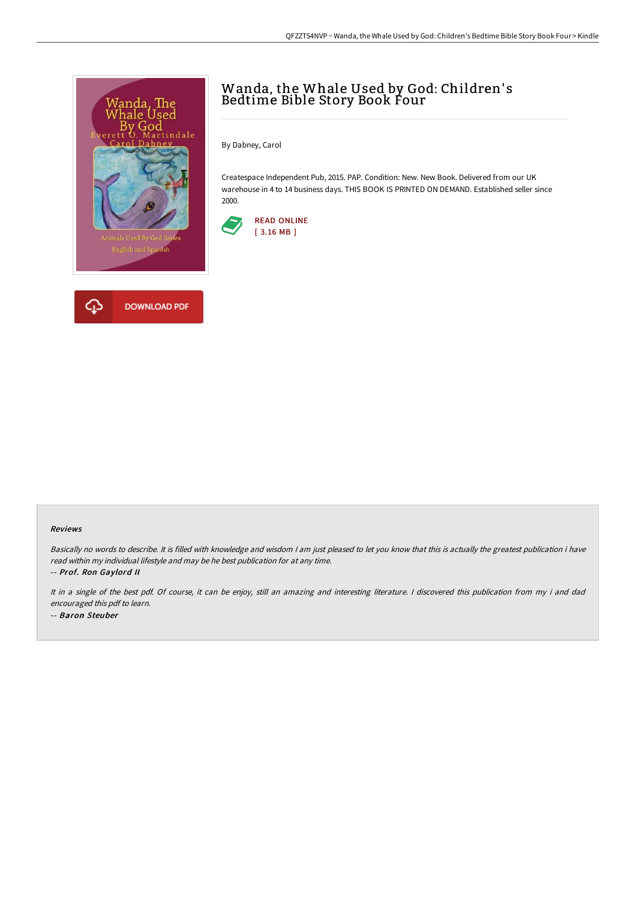

## Wanda, the Whale Used by God: Children' s Bedtime Bible Story Book Four

By Dabney, Carol

Createspace Independent Pub, 2015. PAP. Condition: New. New Book. Delivered from our UK warehouse in 4 to 14 business days. THIS BOOK IS PRINTED ON DEMAND. Established seller since 2000.



## Reviews

Basically no words to describe. It is filled with knowledge and wisdom <sup>I</sup> am just pleased to let you know that this is actually the greatest publication i have read within my individual lifestyle and may be he best publication for at any time.

-- Prof. Ron Gaylord II

It in <sup>a</sup> single of the best pdf. Of course, it can be enjoy, still an amazing and interesting literature. <sup>I</sup> discovered this publication from my i and dad encouraged this pdf to learn. -- Baron Steuber